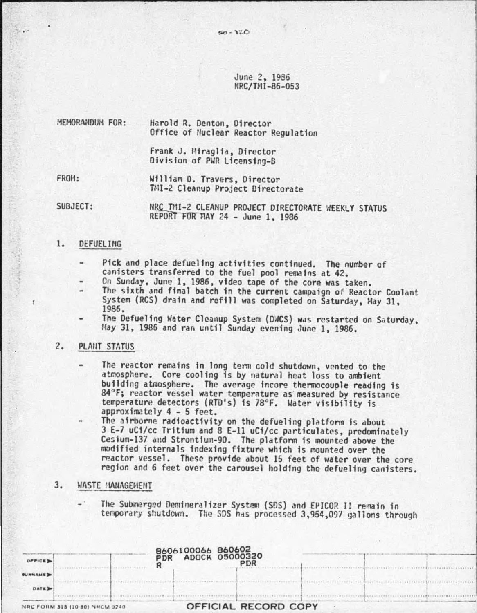$526 - 120$ 

June 2, 1936 NRC/TMI-86-053

| MEMORANDUM FOR: | Harold R. Denton, Director<br>Office of Nuclear Reactor Regulation |
|-----------------|--------------------------------------------------------------------|
|                 | Frank J. Miraglia, Director<br>Division of PWR Licensing-B         |
| FROM:           | William D. Travers, Director<br>TMI-2 Cleanup Project Directorate  |

SUBJECT: NRC TMI-2 CLEANUP PROJECT DIRECTORATE WEEKLY STATUS REPORT FOR MAY 24 - June 1, 1986

# 1. DEFUELING

<sup>~</sup>..

- Pick and place defucling activities continued. The number of canisters transferred to the fuel pool remains at 42.
- On Sunday, June 1, 1986, video tape of the core was taken.
- The sixth and final batch in the current campaign of Reactor Coolant System (RCS) drain and refill was completed on Saturday, May 31, 1986.
- The Defueling Water Cleanup System (DWCS) was restarted on Saturday, May 31, 1986 and ran until Sunday evening June 1, 1986.

## 2. PLANT STATUS

- The reactor remains fn long tenn cold shutdown, vented to the atmosphere. Core cooling is by natural heat loss to ambient building atmosphere. The average incore thermocouple reading is 84°F; reactor vessel water temperature as measured by resistance temperature detectors (RTD's) is 78°F. Water visibility is approximately 4 - 5 feet.
- The airborne radioactivity on the defueling platform is about 3 E-7 uCi/cc Tritium and 8 E-11 uCi/cc particulates, predominately Cesium-137 and Strontium-90. The platform is mounted above the modified internals indexing fixture which is mounted over the reactor vessel. These provide about 15 feet of water over the core region and 6 feet over the carousel holding the defueling canisters.
- 3. WASTE MANAGEMENT
	- The Submerged Demineralizer System (SDS) and EPICOR II remain in temporary shutdown. The SDS has processed 3,954,097 gallons through

|                |                                |  | <b>8606100066 860602<br/>PDR ADOCK 05000320</b> |                      |  |  |
|----------------|--------------------------------|--|-------------------------------------------------|----------------------|--|--|
| <b>OFFICE</b>  |                                |  |                                                 |                      |  |  |
| <b>BUNNAME</b> |                                |  |                                                 |                      |  |  |
| DATE D         |                                |  |                                                 |                      |  |  |
|                | NRC FORM 318 (10-80) NRCM 0240 |  |                                                 | OFFICIAL RECORD COPY |  |  |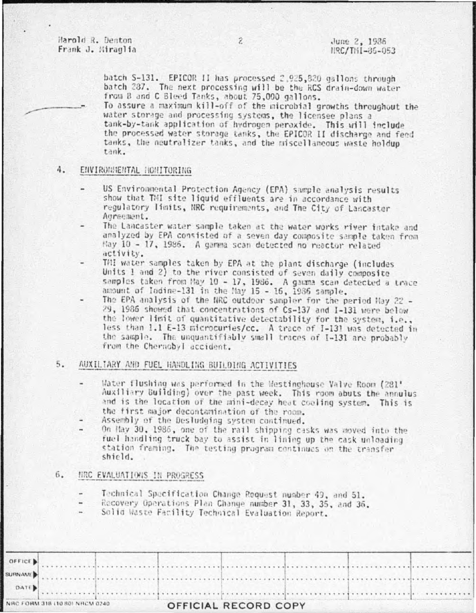Harold R. Denton Frank J. Miraglia

batch S-131. EPICOR II has processed 2,925,820 gallons through batch 287. The next processing will be the RCS drain-down water from B and C Bleed Tanks, about 75,000 gallons.

To assure a maximum kill-off of the microbial growths throughout the water storage and processing systems, the licensee plans a tank-by-tank application of hydrogen peroxide. This will include the processed water storage tanks, the EPICOR II discharge and feed tanks, the neutralizer tanks, and the miscellaneous waste holdup tank.

### ENVIRONMENTAL NONITORING 4.

- US Environmental Protection Agency (EPA) sample analysis results show that TMI site liquid effluents are in accordance with regulatory limits, NRC requirements, and The City of Lancaster Agreement.
- The Lancaster water sample taken at the water works river intake and analyzed by EPA consisted of a seven day composite sample taken from May 10 - 17, 1986. A gamma scan detected no reactor related activity.
- THI water samples taken by EPA at the plant discharge (includes Units 1 and 2) to the river consisted of seven daily composite samples taken from May 10 - 17, 1986. A gamma scan detected a trace amount of lodine-131 in the May 15 - 16, 1986 sample.
- The EPA analysis of the NRC outdoor sampler for the period May 22 -29, 1986 showed that concentrations of Cs-137 and I-131 were below the lower limit of quantitative detectability for the system, i.e., less than 1.1 E-13 microcuries/cc. A trace of I-131 was detected in the sample. The unquantifiably small traces of I-131 are probably from the Chernobyl accident.

## 5. AUXILIARY AND FUEL HANDLING BUILDING ACTIVITIES

- Water flushing was performed in the Westinghouse Valve Room (281' Auxiliary Building) over the past week. This room abuts the annulus and is the location of the mini-decay heat cooling system. This is the first major decontamination of the room.
- Assembly of the Desludging system continued.
- On May 30, 1986, one of the rail shipping casks was moved into the fuel handling truck bay to assist in lining up the cask unloading station framing. The testing program continues on the transfer shield.

### $6.$ HRC EVALUATIONS IN PROGRESS

- Technical Specification Change Request number 49, and 51.
- Recovery Operations Plan Change number 31, 33, 35, and 36.
- Solid Waste Facility Technical Evaluation Report.

| OFFICE |                                |  |  |                             |  |  |  |  |
|--------|--------------------------------|--|--|-----------------------------|--|--|--|--|
|        |                                |  |  |                             |  |  |  |  |
| DATE   |                                |  |  |                             |  |  |  |  |
|        | VRC FORM 318 (10 80) NRCM 0240 |  |  | <b>OFFICIAL RECORD COPY</b> |  |  |  |  |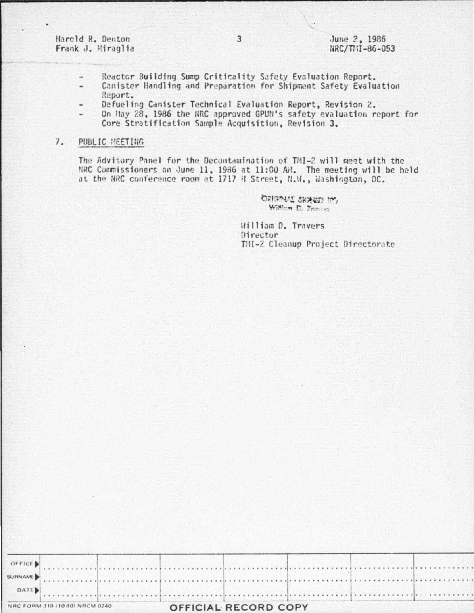Harold R. Denton Frank J. Hiraglia

- Reactor Building Sump Criticality Safety Evaluation Report. ÷
- Canister Handling and Preparation for Shipment Safety Evaluation Report.
- Defueling Canister Technical Evaluation Report, Revision 2.
- On May 28, 1986 the NRC approved GPUN's safety evaluation report for  $\overline{\phantom{a}}$ Core Stratification Sample Acquisition, Revision 3.

#### $7.$ PUBLIC HEETING

The Advisory Panel for the Decontamination of TMI-2 will meet with the NRC Commissioners on June 11, 1986 at 11:00 AH. The meeting will be held at the NRC conference room at 1717 H Street, N.M., Washington, DC.

> ORIGINAL SKALED IN. William D. Transar

William D. Travers Director TMI-2 Cleanup Project Directorate

| OFFICE )                       |  |                      |  |  |  |
|--------------------------------|--|----------------------|--|--|--|
|                                |  |                      |  |  |  |
| $\sim$ DATE)                   |  |                      |  |  |  |
| NRC FORM 318 (10 80) NRCM 0240 |  | OFFICIAL PECOPD COPY |  |  |  |